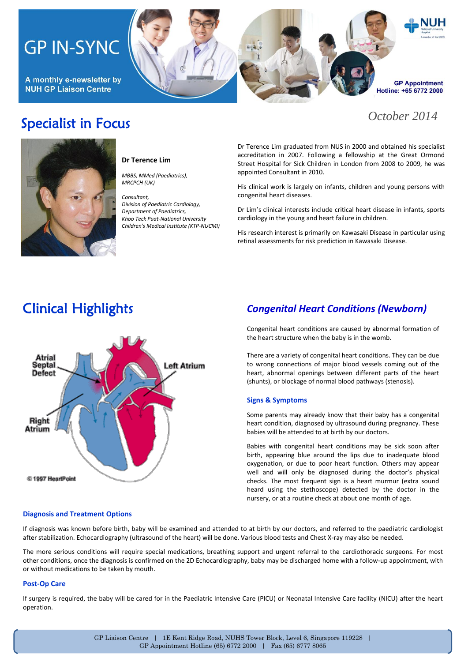# **GP IN-SYNC**

A monthly e-newsletter by **NUH GP Liaison Centre** 

# **GP Appointment** Hotline: +65 6772 2000

## *October 2014*





#### **Dr Terence Lim**

*MBBS, MMed (Paediatrics), MRCPCH (UK)*

#### *Consultant, Division of Paediatric Cardiology, Department of Paediatrics, Khoo Teck Puat-National University Children's Medical Institute (KTP-NUCMI)*

Dr Terence Lim graduated from NUS in 2000 and obtained his specialist accreditation in 2007. Following a fellowship at the Great Ormond Street Hospital for Sick Children in London from 2008 to 2009, he was appointed Consultant in 2010.

His clinical work is largely on infants, children and young persons with congenital heart diseases.

Dr Lim's clinical interests include critical heart disease in infants, sports cardiology in the young and heart failure in children.

His research interest is primarily on Kawasaki Disease in particular using retinal assessments for risk prediction in Kawasaki Disease.

## Clinical Highlights



## *Congenital Heart Conditions (Newborn)*

Congenital heart conditions are caused by abnormal formation of the heart structure when the baby is in the womb.

There are a variety of congenital heart conditions. They can be due to wrong connections of major blood vessels coming out of the heart, abnormal openings between different parts of the heart (shunts), or blockage of normal blood pathways (stenosis).

### **Signs & Symptoms**

Some parents may already know that their baby has a congenital heart condition, diagnosed by ultrasound during pregnancy. These babies will be attended to at birth by our doctors.

Babies with congenital heart conditions may be sick soon after birth, appearing blue around the lips due to inadequate blood oxygenation, or due to poor heart function. Others may appear well and will only be diagnosed during the doctor's physical checks. The most frequent sign is a heart murmur (extra sound heard using the stethoscope) detected by the doctor in the nursery, or at a routine check at about one month of age.

### **Diagnosis and Treatment Options**

If diagnosis was known before birth, baby will be examined and attended to at birth by our doctors, and referred to the paediatric cardiologist after stabilization. Echocardiography (ultrasound of the heart) will be done. Various blood tests and Chest X-ray may also be needed.

The more serious conditions will require special medications, breathing support and urgent referral to the cardiothoracic surgeons. For most other conditions, once the diagnosis is confirmed on the 2D Echocardiography, baby may be discharged home with a follow-up appointment, with or without medications to be taken by mouth.

#### **Post-Op Care**

If surgery is required, the baby will be cared for in the Paediatric Intensive Care (PICU) or Neonatal Intensive Care facility (NICU) after the heart operation.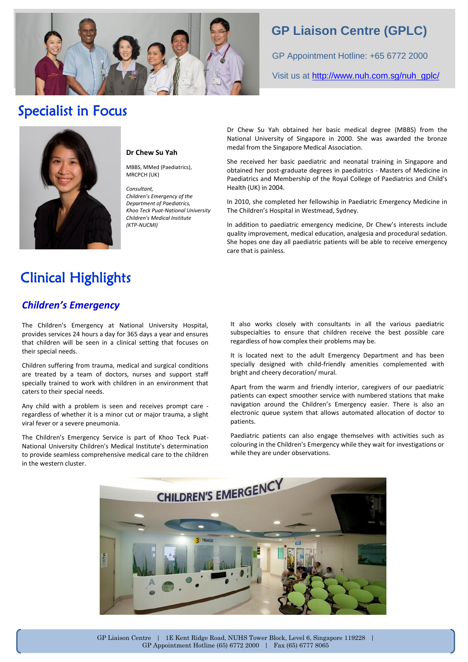

## **GP Liaison Centre (GPLC)**

GP Appointment Hotline: +65 6772 2000

Visit us at [http://www.nuh.com.sg/nuh\\_gplc/](http://www.nuh.com.sg/nuh_gplc/)

## Specialist in Focus



### **Dr Chew Su Yah**

MBBS, MMed (Paediatrics), MRCPCH (UK)

*Consultant, Children's Emergency of the Department of Paediatrics, Khoo Teck Puat-National University Children's Medical Institute (KTP-NUCMI)*

Dr Chew Su Yah obtained her basic medical degree (MBBS) from the National University of Singapore in 2000. She was awarded the bronze medal from the Singapore Medical Association.

She received her basic paediatric and neonatal training in Singapore and obtained her post-graduate degrees in paediatrics - Masters of Medicine in Paediatrics and Membership of the Royal College of Paediatrics and Child's Health (UK) in 2004.

In 2010, she completed her fellowship in Paediatric Emergency Medicine in The Children's Hospital in Westmead, Sydney.

In addition to paediatric emergency medicine, Dr Chew's interests include quality improvement, medical education, analgesia and procedural sedation. She hopes one day all paediatric patients will be able to receive emergency care that is painless.

# Clinical Highlights

## *Children's Emergency*

l

.

The Children's Emergency at National University Hospital, provides services 24 hours a day for 365 days a year and ensures that children will be seen in a clinical setting that focuses on their special needs.

Children suffering from trauma, medical and surgical conditions are treated by a team of doctors, nurses and support staff specially trained to work with children in an environment that caters to their special needs.

Any child with a problem is seen and receives prompt care regardless of whether it is a minor cut or major trauma, a slight viral fever or a severe pneumonia.

The Children's Emergency Service is part of Khoo Teck Puat-National University Children's Medical Institute's determination to provide seamless comprehensive medical care to the children in the western cluster.

It also works closely with consultants in all the various paediatric subspecialties to ensure that children receive the best possible care regardless of how complex their problems may be.

It is located next to the adult Emergency Department and has been specially designed with child-friendly amenities complemented with bright and cheery decoration/ mural.

Apart from the warm and friendly interior, caregivers of our paediatric patients can expect smoother service with numbered stations that make navigation around the Children's Emergency easier. There is also an electronic queue system that allows automated allocation of doctor to patients.

Paediatric patients can also engage themselves with activities such as colouring in the Children's Emergency while they wait for investigations or while they are under observations.